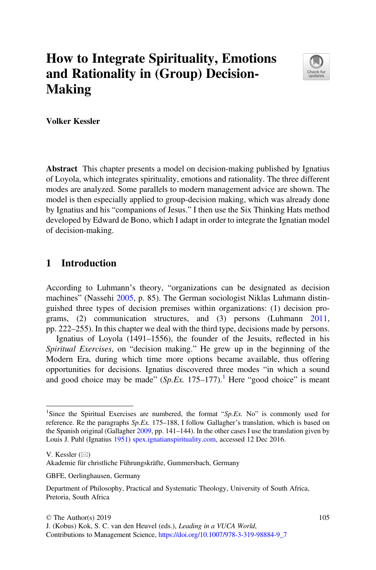# How to Integrate Spirituality, Emotions and Rationality in (Group) Decision-Making



Volker Kessler

Abstract This chapter presents a model on decision-making published by Ignatius of Loyola, which integrates spirituality, emotions and rationality. The three different modes are analyzed. Some parallels to modern management advice are shown. The model is then especially applied to group-decision making, which was already done by Ignatius and his "companions of Jesus." I then use the Six Thinking Hats method developed by Edward de Bono, which I adapt in order to integrate the Ignatian model of decision-making.

# 1 Introduction

According to Luhmann's theory, "organizations can be designated as decision machines" (Nassehi [2005](#page-12-0), p. 85). The German sociologist Niklas Luhmann distinguished three types of decision premises within organizations: (1) decision programs, (2) communication structures, and (3) persons (Luhmann [2011](#page-12-1), pp. 222–255). In this chapter we deal with the third type, decisions made by persons.

Ignatius of Loyola (1491–1556), the founder of the Jesuits, reflected in his Spiritual Exercises, on "decision making." He grew up in the beginning of the Modern Era, during which time more options became available, thus offering opportunities for decisions. Ignatius discovered three modes "in which a sound and good choice may be made"  $(Sp.Ex. 175-177).$  $(Sp.Ex. 175-177).$  $(Sp.Ex. 175-177).$ <sup>1</sup> Here "good choice" is meant

V. Kessler  $(\boxtimes)$ 

Akademie für christliche Führungskräfte, Gummersbach, Germany

GBFE, Oerlinghausen, Germany

Department of Philosophy, Practical and Systematic Theology, University of South Africa, Pretoria, South Africa

<span id="page-0-0"></span><sup>&</sup>lt;sup>1</sup>Since the Spiritual Exercises are numbered, the format "Sp.Ex. No" is commonly used for reference. Re the paragraphs  $Sp.Ex$ . 175–188, I follow Gallagher's translation, which is based on the Spanish original (Gallagher [2009,](#page-12-2) pp.  $141-144$ ). In the other cases I use the translation given by Louis J. Puhl (Ignatius [1951\)](#page-12-3) [spex.ignatianspirituality.com](http://www.spex.ignatianspirituality.com), accessed 12 Dec 2016.

J. (Kobus) Kok, S. C. van den Heuvel (eds.), Leading in a VUCA World, Contributions to Management Science, [https://doi.org/10.1007/978-3-319-98884-9\\_7](https://doi.org/10.1007/978-3-319-98884-9_7)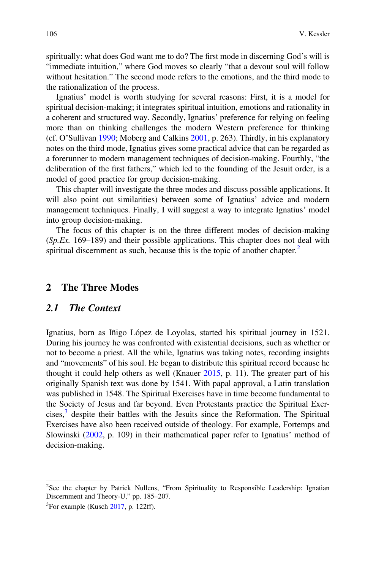spiritually: what does God want me to do? The first mode in discerning God's will is "immediate intuition," where God moves so clearly "that a devout soul will follow without hesitation." The second mode refers to the emotions, and the third mode to the rationalization of the process.

Ignatius' model is worth studying for several reasons: First, it is a model for spiritual decision-making; it integrates spiritual intuition, emotions and rationality in a coherent and structured way. Secondly, Ignatius' preference for relying on feeling more than on thinking challenges the modern Western preference for thinking (cf. O'Sullivan [1990](#page-12-4); Moberg and Calkins [2001,](#page-12-5) p. 263). Thirdly, in his explanatory notes on the third mode, Ignatius gives some practical advice that can be regarded as a forerunner to modern management techniques of decision-making. Fourthly, "the deliberation of the first fathers," which led to the founding of the Jesuit order, is a model of good practice for group decision-making.

This chapter will investigate the three modes and discuss possible applications. It will also point out similarities) between some of Ignatius' advice and modern management techniques. Finally, I will suggest a way to integrate Ignatius' model into group decision-making.

The focus of this chapter is on the three different modes of decision-making  $(Sp.Ex. 169-189)$  and their possible applications. This chapter does not deal with spiritual discernment as such, because this is the topic of another chapter.<sup>[2](#page-1-0)</sup>

## 2 The Three Modes

## 2.1 The Context

Ignatius, born as Iñigo López de Loyolas, started his spiritual journey in 1521. During his journey he was confronted with existential decisions, such as whether or not to become a priest. All the while, Ignatius was taking notes, recording insights and "movements" of his soul. He began to distribute this spiritual record because he thought it could help others as well (Knauer [2015,](#page-12-6) p. 11). The greater part of his originally Spanish text was done by 1541. With papal approval, a Latin translation was published in 1548. The Spiritual Exercises have in time become fundamental to the Society of Jesus and far beyond. Even Protestants practice the Spiritual Exercises, $3$  despite their battles with the Jesuits since the Reformation. The Spiritual Exercises have also been received outside of theology. For example, Fortemps and Slowinski [\(2002](#page-12-7), p. 109) in their mathematical paper refer to Ignatius' method of decision-making.

<span id="page-1-0"></span><sup>&</sup>lt;sup>2</sup>See the chapter by Patrick Nullens, "From Spirituality to Responsible Leadership: Ignatian Discernment and Theory-U," pp. 185–207.

<span id="page-1-1"></span> ${}^{3}$ For example (Kusch [2017,](#page-12-8) p. 122ff).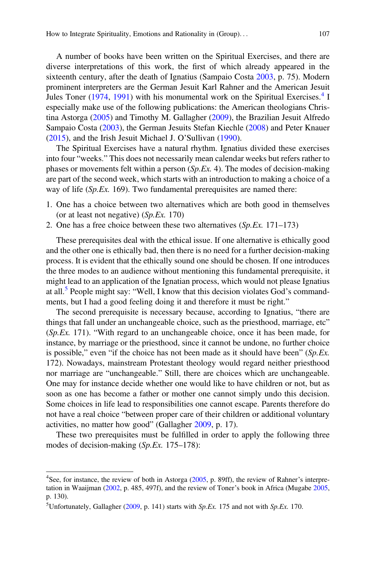A number of books have been written on the Spiritual Exercises, and there are diverse interpretations of this work, the first of which already appeared in the sixteenth century, after the death of Ignatius (Sampaio Costa [2003,](#page-12-9) p. 75). Modern prominent interpreters are the German Jesuit Karl Rahner and the American Jesuit Jules Toner ([1974,](#page-12-10) [1991](#page-12-11)) with his monumental work on the Spiritual Exercises.<sup>[4](#page-2-0)</sup> I especially make use of the following publications: the American theologians Christina Astorga ([2005\)](#page-12-12) and Timothy M. Gallagher ([2009](#page-12-2)), the Brazilian Jesuit Alfredo Sampaio Costa ([2003\)](#page-12-9), the German Jesuits Stefan Kiechle ([2008\)](#page-12-13) and Peter Knauer [\(2015](#page-12-6)), and the Irish Jesuit Michael J. O'Sullivan [\(1990](#page-12-4)).

The Spiritual Exercises have a natural rhythm. Ignatius divided these exercises into four "weeks." This does not necessarily mean calendar weeks but refers rather to phases or movements felt within a person (Sp.Ex. 4). The modes of decision-making are part of the second week, which starts with an introduction to making a choice of a way of life (Sp.Ex. 169). Two fundamental prerequisites are named there:

- 1. One has a choice between two alternatives which are both good in themselves (or at least not negative)  $(Sp.Ex, 170)$
- 2. One has a free choice between these two alternatives  $(Sp.Ex. 171-173)$

These prerequisites deal with the ethical issue. If one alternative is ethically good and the other one is ethically bad, then there is no need for a further decision-making process. It is evident that the ethically sound one should be chosen. If one introduces the three modes to an audience without mentioning this fundamental prerequisite, it might lead to an application of the Ignatian process, which would not please Ignatius at all.<sup>[5](#page-2-1)</sup> People might say: "Well, I know that this decision violates God's commandments, but I had a good feeling doing it and therefore it must be right."

The second prerequisite is necessary because, according to Ignatius, "there are things that fall under an unchangeable choice, such as the priesthood, marriage, etc" (Sp.Ex. 171). "With regard to an unchangeable choice, once it has been made, for instance, by marriage or the priesthood, since it cannot be undone, no further choice is possible," even "if the choice has not been made as it should have been"  $(Sp.Ex)$ . 172). Nowadays, mainstream Protestant theology would regard neither priesthood nor marriage are "unchangeable." Still, there are choices which are unchangeable. One may for instance decide whether one would like to have children or not, but as soon as one has become a father or mother one cannot simply undo this decision. Some choices in life lead to responsibilities one cannot escape. Parents therefore do not have a real choice "between proper care of their children or additional voluntary activities, no matter how good" (Gallagher [2009](#page-12-2), p. 17).

These two prerequisites must be fulfilled in order to apply the following three modes of decision-making (Sp.Ex. 175–178):

<span id="page-2-0"></span><sup>&</sup>lt;sup>4</sup>See, for instance, the review of both in Astorga [\(2005](#page-12-12), p. 89ff), the review of Rahner's interpretation in Waaijman [\(2002](#page-12-14), p. 485, 497f), and the review of Toner's book in Africa (Mugabe [2005](#page-12-15), p. 130).

<span id="page-2-1"></span><sup>&</sup>lt;sup>5</sup>Unfortunately, Gallagher ([2009,](#page-12-2) p. 141) starts with  $Sp.Ex$ . 175 and not with  $Sp.Ex$ . 170.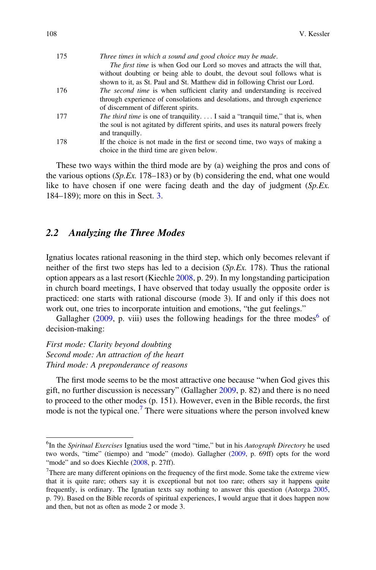| 175 | Three times in which a sound and good choice may be made.                                                                                              |
|-----|--------------------------------------------------------------------------------------------------------------------------------------------------------|
|     | The first time is when God our Lord so moves and attracts the will that,                                                                               |
|     | without doubting or being able to doubt, the devout soul follows what is<br>shown to it, as St. Paul and St. Matthew did in following Christ our Lord. |
| 176 | <i>The second time</i> is when sufficient clarity and understanding is received                                                                        |
|     | through experience of consolations and desolations, and through experience                                                                             |
|     | of discernment of different spirits.                                                                                                                   |
| 177 | <i>The third time</i> is one of tranquility. I said a "tranquil time," that is, when                                                                   |
|     | the soul is not agitated by different spirits, and uses its natural powers freely                                                                      |
|     | and tranquilly.                                                                                                                                        |
| 178 | If the choice is not made in the first or second time, two ways of making a                                                                            |
|     | choice in the third time are given below.                                                                                                              |

These two ways within the third mode are by (a) weighing the pros and cons of the various options  $(Sp.Ex. 178-183)$  or by (b) considering the end, what one would like to have chosen if one were facing death and the day of judgment  $(Sp, Ex,$ 184–189); more on this in Sect. [3](#page-7-0).

# 2.2 Analyzing the Three Modes

Ignatius locates rational reasoning in the third step, which only becomes relevant if neither of the first two steps has led to a decision  $(Sp.Ex. 178)$ . Thus the rational option appears as a last resort (Kiechle [2008,](#page-12-13) p. 29). In my longstanding participation in church board meetings, I have observed that today usually the opposite order is practiced: one starts with rational discourse (mode 3). If and only if this does not work out, one tries to incorporate intuition and emotions, "the gut feelings."

Gallagher ([2009,](#page-12-2) p. viii) uses the following headings for the three modes<sup>[6](#page-3-0)</sup> of decision-making:

First mode: Clarity beyond doubting Second mode: An attraction of the heart Third mode: A preponderance of reasons

The first mode seems to be the most attractive one because "when God gives this gift, no further discussion is necessary" (Gallagher [2009](#page-12-2), p. 82) and there is no need to proceed to the other modes (p. 151). However, even in the Bible records, the first mode is not the typical one.<sup>[7](#page-3-1)</sup> There were situations where the person involved knew

<span id="page-3-0"></span> ${}^{6}$ In the Spiritual Exercises Ignatius used the word "time," but in his Autograph Directory he used two words, "time" (tiempo) and "mode" (modo). Gallagher [\(2009](#page-12-2), p. 69ff) opts for the word "mode" and so does Kiechle ([2008,](#page-12-13) p. 27ff).

<span id="page-3-1"></span> $7$ There are many different opinions on the frequency of the first mode. Some take the extreme view that it is quite rare; others say it is exceptional but not too rare; others say it happens quite frequently, is ordinary. The Ignatian texts say nothing to answer this question (Astorga [2005](#page-12-12), p. 79). Based on the Bible records of spiritual experiences, I would argue that it does happen now and then, but not as often as mode 2 or mode 3.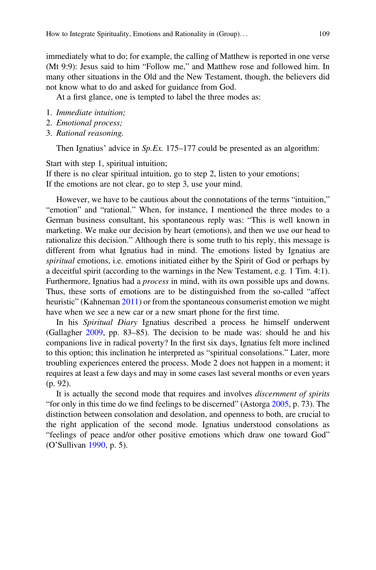immediately what to do; for example, the calling of Matthew is reported in one verse (Mt 9:9): Jesus said to him "Follow me," and Matthew rose and followed him. In many other situations in the Old and the New Testament, though, the believers did not know what to do and asked for guidance from God.

At a first glance, one is tempted to label the three modes as:

- 1. Immediate intuition;
- 2. Emotional process;
- 3. Rational reasoning.

Then Ignatius' advice in Sp.Ex. 175–177 could be presented as an algorithm:

Start with step 1, spiritual intuition;

If there is no clear spiritual intuition, go to step 2, listen to your emotions; If the emotions are not clear, go to step 3, use your mind.

However, we have to be cautious about the connotations of the terms "intuition," "emotion" and "rational." When, for instance, I mentioned the three modes to a German business consultant, his spontaneous reply was: "This is well known in marketing. We make our decision by heart (emotions), and then we use our head to rationalize this decision." Although there is some truth to his reply, this message is different from what Ignatius had in mind. The emotions listed by Ignatius are spiritual emotions, i.e. emotions initiated either by the Spirit of God or perhaps by a deceitful spirit (according to the warnings in the New Testament, e.g. 1 Tim. 4:1). Furthermore, Ignatius had a process in mind, with its own possible ups and downs. Thus, these sorts of emotions are to be distinguished from the so-called "affect heuristic" (Kahneman [2011](#page-12-16)) or from the spontaneous consumerist emotion we might have when we see a new car or a new smart phone for the first time.

In his Spiritual Diary Ignatius described a process he himself underwent (Gallagher [2009](#page-12-2), pp. 83–85). The decision to be made was: should he and his companions live in radical poverty? In the first six days, Ignatius felt more inclined to this option; this inclination he interpreted as "spiritual consolations." Later, more troubling experiences entered the process. Mode 2 does not happen in a moment; it requires at least a few days and may in some cases last several months or even years (p. 92).

It is actually the second mode that requires and involves discernment of spirits "for only in this time do we find feelings to be discerned" (Astorga [2005,](#page-12-12) p. 73). The distinction between consolation and desolation, and openness to both, are crucial to the right application of the second mode. Ignatius understood consolations as "feelings of peace and/or other positive emotions which draw one toward God" (O'Sullivan [1990](#page-12-4), p. 5).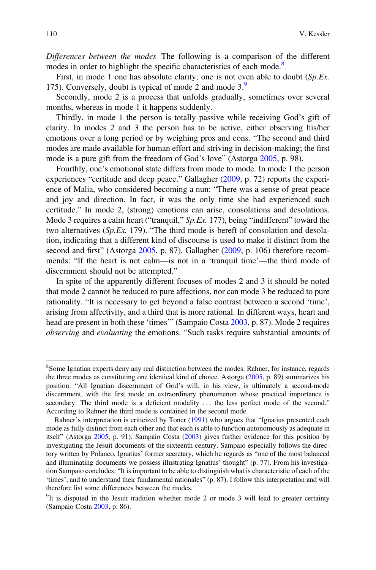Differences between the modes The following is a comparison of the different modes in order to highlight the specific characteristics of each mode.<sup>[8](#page-5-0)</sup>

First, in mode 1 one has absolute clarity; one is not even able to doubt  $(Sp.Ex)$ . 175). Conversely, doubt is typical of mode 2 and mode 3.<sup>[9](#page-5-1)</sup>

Secondly, mode 2 is a process that unfolds gradually, sometimes over several months, whereas in mode 1 it happens suddenly.

Thirdly, in mode 1 the person is totally passive while receiving God's gift of clarity. In modes 2 and 3 the person has to be active, either observing his/her emotions over a long period or by weighing pros and cons. "The second and third modes are made available for human effort and striving in decision-making; the first mode is a pure gift from the freedom of God's love" (Astorga [2005,](#page-12-12) p. 98).

Fourthly, one's emotional state differs from mode to mode. In mode 1 the person experiences "certitude and deep peace." Gallagher ([2009,](#page-12-2) p. 72) reports the experience of Malia, who considered becoming a nun: "There was a sense of great peace and joy and direction. In fact, it was the only time she had experienced such certitude." In mode 2, (strong) emotions can arise, consolations and desolations. Mode 3 requires a calm heart ("tranquil," Sp.Ex. 177), being "indifferent" toward the two alternatives  $(Sp, Ex. 179)$ . "The third mode is bereft of consolation and desolation, indicating that a different kind of discourse is used to make it distinct from the second and first" (Astorga [2005](#page-12-12), p. 87). Gallagher ([2009,](#page-12-2) p. 106) therefore recommends: "If the heart is not calm—is not in a 'tranquil time'—the third mode of discernment should not be attempted."

In spite of the apparently different focuses of modes 2 and 3 it should be noted that mode 2 cannot be reduced to pure affections, nor can mode 3 be reduced to pure rationality. "It is necessary to get beyond a false contrast between a second 'time', arising from affectivity, and a third that is more rational. In different ways, heart and head are present in both these 'times'" (Sampaio Costa [2003,](#page-12-9) p. 87). Mode 2 requires observing and evaluating the emotions. "Such tasks require substantial amounts of

<span id="page-5-0"></span><sup>&</sup>lt;sup>8</sup> Some Ignatian experts deny any real distinction between the modes. Rahner, for instance, regards the three modes as constituting one identical kind of choice. Astorga [\(2005](#page-12-12), p. 89) summarizes his position: "All Ignatian discernment of God's will, in his view, is ultimately a second-mode discernment, with the first mode an extraordinary phenomenon whose practical importance is secondary. The third mode is a deficient modality ... the less perfect mode of the second." According to Rahner the third mode is contained in the second mode.

Rahner's interpretation is criticized by Toner ([1991\)](#page-12-11) who argues that "Ignatius presented each mode as fully distinct from each other and that each is able to function autonomously as adequate in itself" (Astorga [2005,](#page-12-12) p. 91). Sampaio Costa ([2003\)](#page-12-9) gives further evidence for this position by investigating the Jesuit documents of the sixteenth century. Sampaio especially follows the directory written by Polanco, Ignatius' former secretary, which he regards as "one of the most balanced and illuminating documents we possess illustrating Ignatius' thought" (p. 77). From his investigation Sampaio concludes: "It is important to be able to distinguish what is characteristic of each of the 'times', and to understand their fundamental rationales" (p. 87). I follow this interpretation and will therefore list some differences between the modes.

<span id="page-5-1"></span> $9$ It is disputed in the Jesuit tradition whether mode 2 or mode 3 will lead to greater certainty (Sampaio Costa [2003,](#page-12-9) p. 86).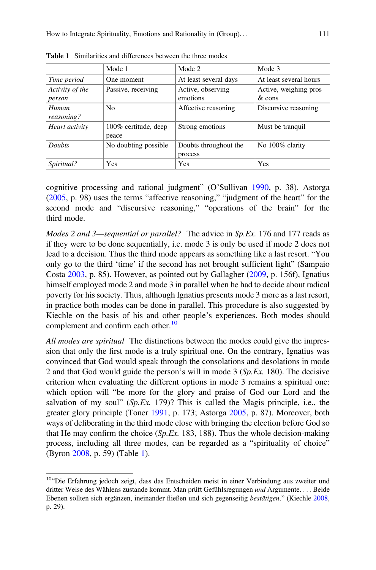|                            | Mode 1                        | Mode 2                           | Mode 3                             |
|----------------------------|-------------------------------|----------------------------------|------------------------------------|
| Time period                | One moment                    | At least several days            | At least several hours             |
| Activity of the<br>person  | Passive, receiving            | Active, observing<br>emotions    | Active, weighing pros<br>$\&$ cons |
| <b>Human</b><br>reasoning? | N <sub>0</sub>                | Affective reasoning              | Discursive reasoning               |
| Heart activity             | 100% certitude, deep<br>peace | Strong emotions                  | Must be tranquil                   |
| <b>Doubts</b>              | No doubting possible.         | Doubts throughout the<br>process | No 100% clarity                    |
| Spiritual?                 | <b>Yes</b>                    | Yes                              | Yes                                |

<span id="page-6-1"></span>Table 1 Similarities and differences between the three modes

cognitive processing and rational judgment" (O'Sullivan [1990](#page-12-4), p. 38). Astorga [\(2005](#page-12-12), p. 98) uses the terms "affective reasoning," "judgment of the heart" for the second mode and "discursive reasoning," "operations of the brain" for the third mode.

Modes 2 and 3—sequential or parallel? The advice in Sp.Ex. 176 and 177 reads as if they were to be done sequentially, i.e. mode 3 is only be used if mode 2 does not lead to a decision. Thus the third mode appears as something like a last resort. "You only go to the third 'time' if the second has not brought sufficient light" (Sampaio Costa [2003](#page-12-9), p. 85). However, as pointed out by Gallagher [\(2009](#page-12-2), p. 156f), Ignatius himself employed mode 2 and mode 3 in parallel when he had to decide about radical poverty for his society. Thus, although Ignatius presents mode 3 more as a last resort, in practice both modes can be done in parallel. This procedure is also suggested by Kiechle on the basis of his and other people's experiences. Both modes should complement and confirm each other. $10$ 

All modes are spiritual The distinctions between the modes could give the impression that only the first mode is a truly spiritual one. On the contrary, Ignatius was convinced that God would speak through the consolations and desolations in mode 2 and that God would guide the person's will in mode 3  $(Sp.Ex. 180)$ . The decisive criterion when evaluating the different options in mode 3 remains a spiritual one: which option will "be more for the glory and praise of God our Lord and the salvation of my soul" ( $Sp. Ex. 179$ )? This is called the Magis principle, i.e., the greater glory principle (Toner [1991](#page-12-11), p. 173; Astorga [2005](#page-12-12), p. 87). Moreover, both ways of deliberating in the third mode close with bringing the election before God so that He may confirm the choice  $(Sp.Ex. 183, 188)$ . Thus the whole decision-making process, including all three modes, can be regarded as a "spirituality of choice" (Byron [2008,](#page-12-17) p. 59) (Table [1\)](#page-6-1).

<span id="page-6-0"></span><sup>&</sup>lt;sup>10</sup>"Die Erfahrung jedoch zeigt, dass das Entscheiden meist in einer Verbindung aus zweiter und dritter Weise des Wählens zustande kommt. Man prüft Gefühlsregungen und Argumente. ... Beide Ebenen sollten sich ergänzen, ineinander fließen und sich gegenseitig bestätigen." (Kiechle [2008](#page-12-13), p. 29).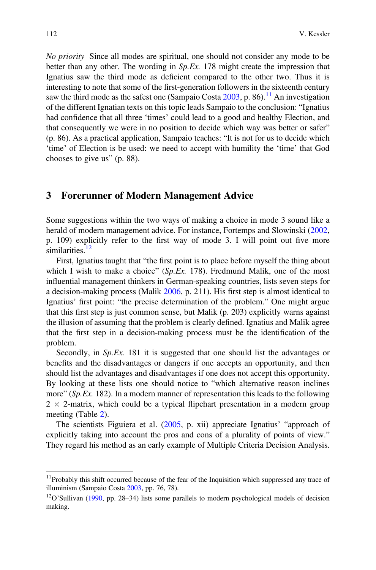No priority Since all modes are spiritual, one should not consider any mode to be better than any other. The wording in Sp.Ex. 178 might create the impression that Ignatius saw the third mode as deficient compared to the other two. Thus it is interesting to note that some of the first-generation followers in the sixteenth century saw the third mode as the safest one (Sampaio Costa  $2003$ , p. 86).<sup>[11](#page-7-1)</sup> An investigation of the different Ignatian texts on this topic leads Sampaio to the conclusion: "Ignatius had confidence that all three 'times' could lead to a good and healthy Election, and that consequently we were in no position to decide which way was better or safer" (p. 86). As a practical application, Sampaio teaches: "It is not for us to decide which 'time' of Election is be used: we need to accept with humility the 'time' that God chooses to give us" (p. 88).

#### <span id="page-7-0"></span>3 Forerunner of Modern Management Advice

Some suggestions within the two ways of making a choice in mode 3 sound like a herald of modern management advice. For instance, Fortemps and Slowinski [\(2002](#page-12-7), p. 109) explicitly refer to the first way of mode 3. I will point out five more similarities.<sup>[12](#page-7-2)</sup>

First, Ignatius taught that "the first point is to place before myself the thing about which I wish to make a choice"  $(Sp.Ex. 178)$ . Fredmund Malik, one of the most influential management thinkers in German-speaking countries, lists seven steps for a decision-making process (Malik [2006](#page-12-18), p. 211). His first step is almost identical to Ignatius' first point: "the precise determination of the problem." One might argue that this first step is just common sense, but Malik (p. 203) explicitly warns against the illusion of assuming that the problem is clearly defined. Ignatius and Malik agree that the first step in a decision-making process must be the identification of the problem.

Secondly, in Sp.Ex. 181 it is suggested that one should list the advantages or benefits and the disadvantages or dangers if one accepts an opportunity, and then should list the advantages and disadvantages if one does not accept this opportunity. By looking at these lists one should notice to "which alternative reason inclines more" (Sp.Ex. 182). In a modern manner of representation this leads to the following  $2 \times 2$ -matrix, which could be a typical flipchart presentation in a modern group meeting (Table [2\)](#page-8-0).

The scientists Figuiera et al. ([2005,](#page-12-19) p. xii) appreciate Ignatius' "approach of explicitly taking into account the pros and cons of a plurality of points of view." They regard his method as an early example of Multiple Criteria Decision Analysis.

<span id="page-7-1"></span><sup>&</sup>lt;sup>11</sup>Probably this shift occurred because of the fear of the Inquisition which suppressed any trace of illuminism (Sampaio Costa [2003](#page-12-9), pp. 76, 78).

<span id="page-7-2"></span> $12$ O'Sullivan ([1990,](#page-12-4) pp. 28–34) lists some parallels to modern psychological models of decision making.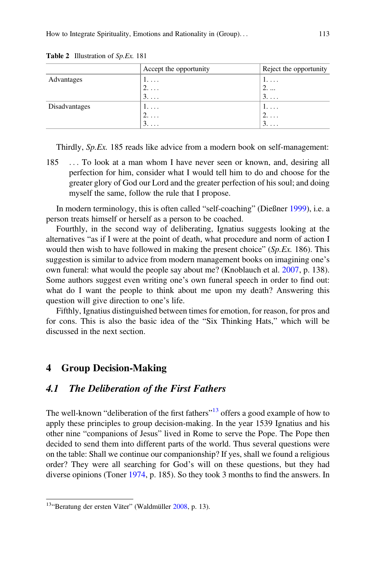|               | Accept the opportunity | Reject the opportunity |
|---------------|------------------------|------------------------|
| Advantages    | 1.                     | 1.                     |
|               | $2. \ldots$            | $2. \ldots$            |
|               | $3. \ldots$            | $3. \ldots$            |
| Disadvantages | 1.                     | 1.                     |
|               | $2. \ldots$            | $2. \ldots$            |
|               | $3. \ldots$            | $3. \ldots$            |

<span id="page-8-0"></span>Table 2 Illustration of Sp.Ex. 181

Thirdly, Sp.Ex. 185 reads like advice from a modern book on self-management:

185 ... To look at a man whom I have never seen or known, and, desiring all perfection for him, consider what I would tell him to do and choose for the greater glory of God our Lord and the greater perfection of his soul; and doing myself the same, follow the rule that I propose.

In modern terminology, this is often called "self-coaching" (Dießner [1999](#page-12-20)), i.e. a person treats himself or herself as a person to be coached.

Fourthly, in the second way of deliberating, Ignatius suggests looking at the alternatives "as if I were at the point of death, what procedure and norm of action I would then wish to have followed in making the present choice" ( $Sp. Ex. 186$ ). This suggestion is similar to advice from modern management books on imagining one's own funeral: what would the people say about me? (Knoblauch et al. [2007,](#page-12-21) p. 138). Some authors suggest even writing one's own funeral speech in order to find out: what do I want the people to think about me upon my death? Answering this question will give direction to one's life.

Fifthly, Ignatius distinguished between times for emotion, for reason, for pros and for cons. This is also the basic idea of the "Six Thinking Hats," which will be discussed in the next section.

#### 4 Group Decision-Making

## 4.1 The Deliberation of the First Fathers

The well-known "deliberation of the first fathers"<sup>[13](#page-8-1)</sup> offers a good example of how to apply these principles to group decision-making. In the year 1539 Ignatius and his other nine "companions of Jesus" lived in Rome to serve the Pope. The Pope then decided to send them into different parts of the world. Thus several questions were on the table: Shall we continue our companionship? If yes, shall we found a religious order? They were all searching for God's will on these questions, but they had diverse opinions (Toner [1974](#page-12-10), p. 185). So they took 3 months to find the answers. In

<span id="page-8-1"></span><sup>&</sup>lt;sup>13</sup>"Beratung der ersten Väter" (Waldmüller [2008](#page-12-22), p. 13).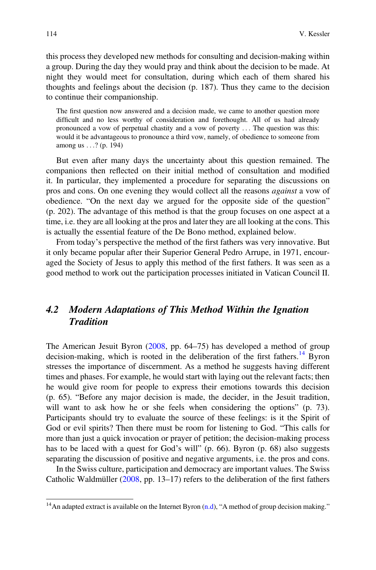this process they developed new methods for consulting and decision-making within a group. During the day they would pray and think about the decision to be made. At night they would meet for consultation, during which each of them shared his thoughts and feelings about the decision (p. 187). Thus they came to the decision to continue their companionship.

The first question now answered and a decision made, we came to another question more difficult and no less worthy of consideration and forethought. All of us had already pronounced a vow of perpetual chastity and a vow of poverty ... The question was this: would it be advantageous to pronounce a third vow, namely, of obedience to someone from among us ...? (p. 194)

But even after many days the uncertainty about this question remained. The companions then reflected on their initial method of consultation and modified it. In particular, they implemented a procedure for separating the discussions on pros and cons. On one evening they would collect all the reasons against a vow of obedience. "On the next day we argued for the opposite side of the question" (p. 202). The advantage of this method is that the group focuses on one aspect at a time, i.e. they are all looking at the pros and later they are all looking at the cons. This is actually the essential feature of the De Bono method, explained below.

From today's perspective the method of the first fathers was very innovative. But it only became popular after their Superior General Pedro Arrupe, in 1971, encouraged the Society of Jesus to apply this method of the first fathers. It was seen as a good method to work out the participation processes initiated in Vatican Council II.

# 4.2 Modern Adaptations of This Method Within the Ignation **Tradition**

The American Jesuit Byron [\(2008](#page-12-17), pp. 64–75) has developed a method of group decision-making, which is rooted in the deliberation of the first fathers.<sup>14</sup> Byron stresses the importance of discernment. As a method he suggests having different times and phases. For example, he would start with laying out the relevant facts; then he would give room for people to express their emotions towards this decision (p. 65). "Before any major decision is made, the decider, in the Jesuit tradition, will want to ask how he or she feels when considering the options" (p. 73). Participants should try to evaluate the source of these feelings: is it the Spirit of God or evil spirits? Then there must be room for listening to God. "This calls for more than just a quick invocation or prayer of petition; the decision-making process has to be laced with a quest for God's will" (p. 66). Byron (p. 68) also suggests separating the discussion of positive and negative arguments, i.e. the pros and cons.

In the Swiss culture, participation and democracy are important values. The Swiss Catholic Waldmüller [\(2008](#page-12-22), pp. 13–17) refers to the deliberation of the first fathers

<span id="page-9-0"></span><sup>&</sup>lt;sup>14</sup>An adapted extract is available on the Internet Byron  $(n.d)$ , "A method of group decision making."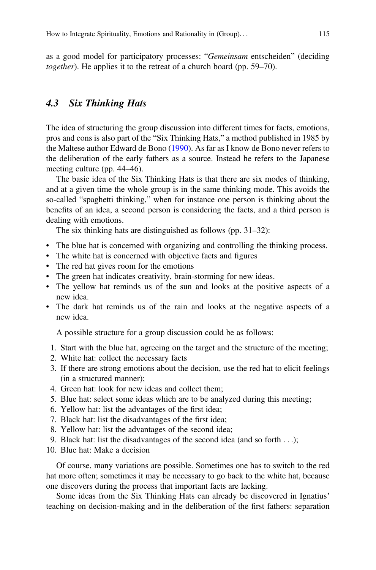as a good model for participatory processes: "Gemeinsam entscheiden" (deciding together). He applies it to the retreat of a church board (pp. 59–70).

# 4.3 Six Thinking Hats

The idea of structuring the group discussion into different times for facts, emotions, pros and cons is also part of the "Six Thinking Hats," a method published in 1985 by the Maltese author Edward de Bono [\(1990](#page-12-24)). As far as I know de Bono never refers to the deliberation of the early fathers as a source. Instead he refers to the Japanese meeting culture (pp. 44–46).

The basic idea of the Six Thinking Hats is that there are six modes of thinking, and at a given time the whole group is in the same thinking mode. This avoids the so-called "spaghetti thinking," when for instance one person is thinking about the benefits of an idea, a second person is considering the facts, and a third person is dealing with emotions.

The six thinking hats are distinguished as follows (pp. 31–32):

- The blue hat is concerned with organizing and controlling the thinking process.
- The white hat is concerned with objective facts and figures
- The red hat gives room for the emotions
- The green hat indicates creativity, brain-storming for new ideas.
- The yellow hat reminds us of the sun and looks at the positive aspects of a new idea.
- The dark hat reminds us of the rain and looks at the negative aspects of a new idea.

A possible structure for a group discussion could be as follows:

- 1. Start with the blue hat, agreeing on the target and the structure of the meeting;
- 2. White hat: collect the necessary facts
- 3. If there are strong emotions about the decision, use the red hat to elicit feelings (in a structured manner);
- 4. Green hat: look for new ideas and collect them;
- 5. Blue hat: select some ideas which are to be analyzed during this meeting;
- 6. Yellow hat: list the advantages of the first idea;
- 7. Black hat: list the disadvantages of the first idea;
- 8. Yellow hat: list the advantages of the second idea;
- 9. Black hat: list the disadvantages of the second idea (and so forth ...);
- 10. Blue hat: Make a decision

Of course, many variations are possible. Sometimes one has to switch to the red hat more often; sometimes it may be necessary to go back to the white hat, because one discovers during the process that important facts are lacking.

Some ideas from the Six Thinking Hats can already be discovered in Ignatius' teaching on decision-making and in the deliberation of the first fathers: separation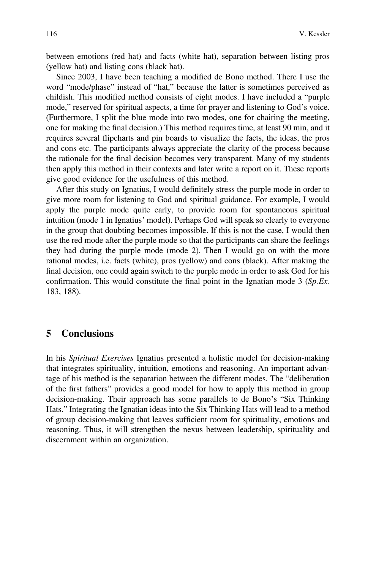between emotions (red hat) and facts (white hat), separation between listing pros (yellow hat) and listing cons (black hat).

Since 2003, I have been teaching a modified de Bono method. There I use the word "mode/phase" instead of "hat," because the latter is sometimes perceived as childish. This modified method consists of eight modes. I have included a "purple mode," reserved for spiritual aspects, a time for prayer and listening to God's voice. (Furthermore, I split the blue mode into two modes, one for chairing the meeting, one for making the final decision.) This method requires time, at least 90 min, and it requires several flipcharts and pin boards to visualize the facts, the ideas, the pros and cons etc. The participants always appreciate the clarity of the process because the rationale for the final decision becomes very transparent. Many of my students then apply this method in their contexts and later write a report on it. These reports give good evidence for the usefulness of this method.

After this study on Ignatius, I would definitely stress the purple mode in order to give more room for listening to God and spiritual guidance. For example, I would apply the purple mode quite early, to provide room for spontaneous spiritual intuition (mode 1 in Ignatius' model). Perhaps God will speak so clearly to everyone in the group that doubting becomes impossible. If this is not the case, I would then use the red mode after the purple mode so that the participants can share the feelings they had during the purple mode (mode 2). Then I would go on with the more rational modes, i.e. facts (white), pros (yellow) and cons (black). After making the final decision, one could again switch to the purple mode in order to ask God for his confirmation. This would constitute the final point in the Ignatian mode 3  $(Sp.Ex)$ . 183, 188).

# 5 Conclusions

In his Spiritual Exercises Ignatius presented a holistic model for decision-making that integrates spirituality, intuition, emotions and reasoning. An important advantage of his method is the separation between the different modes. The "deliberation of the first fathers" provides a good model for how to apply this method in group decision-making. Their approach has some parallels to de Bono's "Six Thinking Hats." Integrating the Ignatian ideas into the Six Thinking Hats will lead to a method of group decision-making that leaves sufficient room for spirituality, emotions and reasoning. Thus, it will strengthen the nexus between leadership, spirituality and discernment within an organization.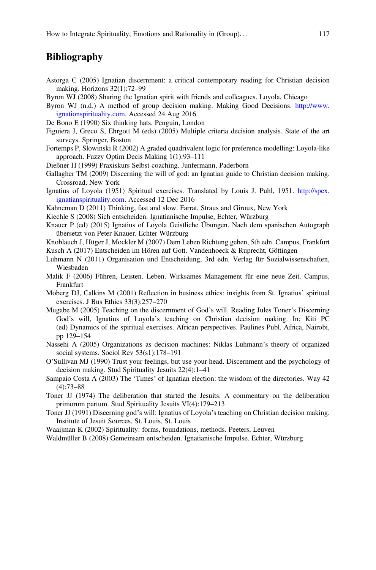# Bibliography

- <span id="page-12-12"></span>Astorga C (2005) Ignatian discernment: a critical contemporary reading for Christian decision making. Horizons 32(1):72–99
- <span id="page-12-17"></span>Byron WJ (2008) Sharing the Ignatian spirit with friends and colleagues. Loyola, Chicago
- <span id="page-12-23"></span>Byron WJ (n.d.) A method of group decision making. Making Good Decisions. [http://www.](http://www.ignationspirituality.com) [ignationspirituality.com](http://www.ignationspirituality.com). Accessed 24 Aug 2016
- <span id="page-12-24"></span>De Bono E (1990) Six thinking hats. Penguin, London
- <span id="page-12-19"></span>Figuiera J, Greco S, Ehrgott M (eds) (2005) Multiple criteria decision analysis. State of the art surveys. Springer, Boston
- <span id="page-12-7"></span>Fortemps P, Slowinski R (2002) A graded quadrivalent logic for preference modelling: Loyola-like approach. Fuzzy Optim Decis Making 1(1):93–111
- <span id="page-12-20"></span>Dießner H (1999) Praxiskurs Selbst-coaching. Junfermann, Paderborn
- <span id="page-12-2"></span>Gallagher TM (2009) Discerning the will of god: an Ignatian guide to Christian decision making. Crossroad, New York
- <span id="page-12-3"></span>Ignatius of Loyola (1951) Spiritual exercises. Translated by Louis J. Puhl, 1951. [http://spex.](http://spex.ignatianspirituality.com) [ignatianspirituality.com.](http://spex.ignatianspirituality.com) Accessed 12 Dec 2016
- <span id="page-12-16"></span>Kahneman D (2011) Thinking, fast and slow. Farrat, Straus and Giroux, New York
- <span id="page-12-13"></span>Kiechle S (2008) Sich entscheiden. Ignatianische Impulse, Echter, Würzburg
- <span id="page-12-6"></span>Knauer P (ed) (2015) Ignatius of Loyola Geistliche Übungen. Nach dem spanischen Autograph übersetzt von Peter Knauer. Echter Würzburg
- <span id="page-12-21"></span>Knoblauch J, Hüger J, Mockler M (2007) Dem Leben Richtung geben, 5th edn. Campus, Frankfurt
- <span id="page-12-8"></span>Kusch A (2017) Entscheiden im Hören auf Gott. Vandenhoeck & Ruprecht, Göttingen
- <span id="page-12-1"></span>Luhmann N (2011) Organisation und Entscheidung, 3rd edn. Verlag für Sozialwissenschaften, Wiesbaden
- <span id="page-12-18"></span>Malik F (2006) Führen, Leisten. Leben. Wirksames Management für eine neue Zeit. Campus, Frankfurt
- <span id="page-12-5"></span>Moberg DJ, Calkins M (2001) Reflection in business ethics: insights from St. Ignatius' spiritual exercises. J Bus Ethics 33(3):257–270
- <span id="page-12-15"></span>Mugabe M (2005) Teaching on the discernment of God's will. Reading Jules Toner's Discerning God's will, Ignatius of Loyola's teaching on Christian decision making. In: Kiti PC (ed) Dynamics of the spiritual exercises. African perspectives. Paulines Publ. Africa, Nairobi, pp 129–154
- <span id="page-12-0"></span>Nassehi A (2005) Organizations as decision machines: Niklas Luhmann's theory of organized social systems. Sociol Rev 53(s1):178–191
- <span id="page-12-4"></span>O'Sullivan MJ (1990) Trust your feelings, but use your head. Discernment and the psychology of decision making. Stud Spirituality Jesuits 22(4):1–41
- <span id="page-12-9"></span>Sampaio Costa A (2003) The 'Times' of Ignatian election: the wisdom of the directories. Way 42 (4):73–88
- <span id="page-12-10"></span>Toner JJ (1974) The deliberation that started the Jesuits. A commentary on the deliberation primorum partum. Stud Spirituality Jesuits VI(4):179–213
- <span id="page-12-11"></span>Toner JJ (1991) Discerning god's will: Ignatius of Loyola's teaching on Christian decision making. Institute of Jesuit Sources, St. Louis, St. Louis
- <span id="page-12-14"></span>Waaijman K (2002) Spirituality: forms, foundations, methods. Peeters, Leuven
- <span id="page-12-22"></span>Waldmüller B (2008) Gemeinsam entscheiden. Ignatianische Impulse. Echter, Würzburg